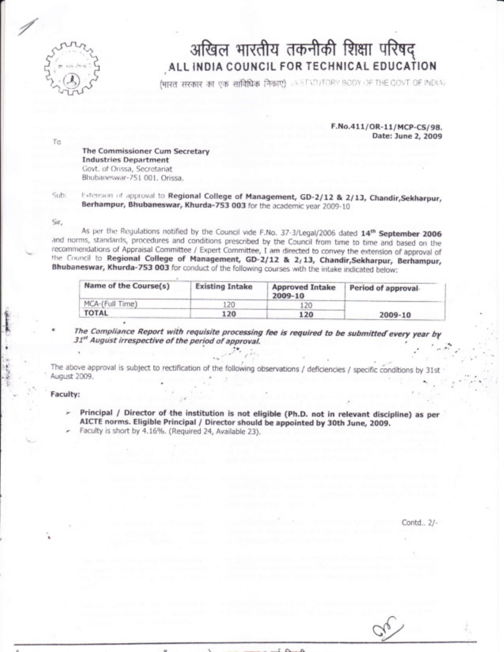

## अखिल भारतीय तकनीकी शिक्षा परिषद् ALL INDIA COUNCIL FOR TECHNICAL EDUCATION

भारत सरकार का एक सांविधिक निकाए) ASTATUTORY BODY OF THE COVT OF INDIA.

F.No.411/OR-11/MCP-CS/98. Date: June 2, 2009

Τo

The Commissioner Cum Secretary **Industries Department** Govt. of Orissa, Secretariat Bhubaneswar-751 001, Orissa.

Sub:

Extension of approval to Regional College of Management, GD-2/12 & 2/13, Chandir, Sekharpur, Berhampur, Bhubaneswar, Khurda-753 003 for the academic year 2009-10

Sir,

As per the Regulations notified by the Council vide F.No. 37-3/Legal/2006 dated 14th September 2006 and norms, standards, procedures and conditions prescribed by the Council from time to time and based on the recommendations of Appraisal Committee / Expert Committee, I am directed to convey the extension of approval of the Council to Regional College of Management, GD-2/12 & 2/13, Chandir, Sekharpur, Berhampur, Bhubaneswar, Khurda-753 003 for conduct of the following courses with the intake indicated below:

| Name of the Course(s) | <b>Existing Intake</b> | <b>Approved Intake</b><br>2009-10 | Period of approval |
|-----------------------|------------------------|-----------------------------------|--------------------|
| MCA-(Full Time)       | 120                    | 20                                | 2009-10            |
| <b>TOTAL</b>          | 120                    | 120                               |                    |

The Compliance Report with requisite processing fee is required to be submitted every year by 31st August irrespective of the period of approval.

The above approval is subject to rectification of the following observations / deficiencies / specific conditions by 31st August 2009.

Faculty:

- Principal / Director of the institution is not eligible (Ph.D. not in relevant discipline) as per AICTE norms. Eligible Principal / Director should be appointed by 30th June, 2009.
- Faculty is short by 4.16%. (Required 24, Available 23).

Contd., 2/-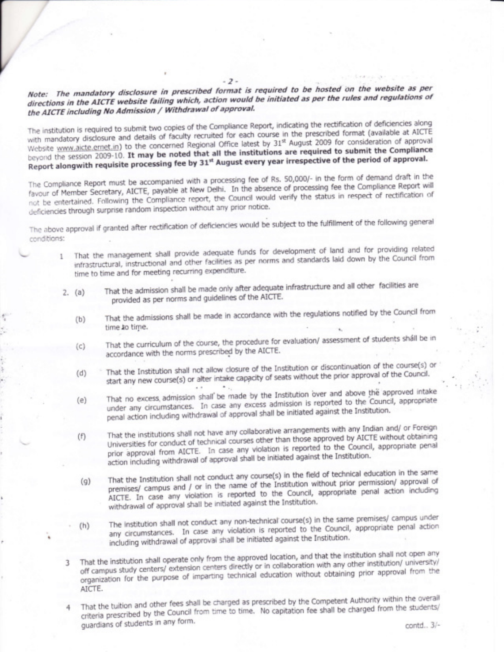## Note: The mandatory disclosure in prescribed format is required to be hosted on the website as per directions in the AICTE website failing which, action would be initiated as per the rules and regulations of the AICTE including No Admission / Withdrawal of approval.

 $-2-$ 

The institution is required to submit two copies of the Compliance Report, indicating the rectification of deficiencies along with mandatory disclosure and details of faculty recruited for each course in the prescribed format (available at AICTE Website www.aicte.ernet.in) to the concerned Regional Office latest by 31st August 2009 for consideration of approval beyond the session 2009-10. It may be noted that all the institutions are required to submit the Compliance Report alongwith requisite processing fee by 31st August every year irrespective of the period of approval.

The Compliance Report must be accompanied with a processing fee of Rs. 50,000/- in the form of demand draft in the favour of Member Secretary, AICTE, payable at New Delhi. In the absence of processing fee the Compliance Report will not be entertained. Following the Compliance report, the Council would verify the status in respect of rectification of deficiencies through surprise random inspection without any prior notice.

The above approval if granted after rectification of deficiencies would be subject to the fulfillment of the following general conditions:

- 1 That the management shall provide adequate funds for development of land and for providing related infrastructural, instructional and other facilities as per norms and standards laid down by the Council from time to time and for meeting recurring expenditure.
- That the admission shall be made only after adequate infrastructure and all other facilities are  $2. (a)$ provided as per norms and guidelines of the AICTE.
	- That the admissions shall be made in accordance with the regulations notified by the Council from  $(b)$ time to time.
	- That the curriculum of the course, the procedure for evaluation/ assessment of students shall be in  $(c)$ accordance with the norms prescribed by the AICTE.
	- That the Institution shall not allow closure of the Institution or discontinuation of the course(s) or start any new course(s) or alter intake capacity of seats without the prior approval of the Council.  $(d)$  $\sim$   $\sim$
	- That no excess admission shall be made by the Institution over and above the approved intake under any circumstances. In case any excess admission is reported to the Council, appropriate  $(e)$ penal action including withdrawal of approval shall be initiated against the Institution.
	- That the institutions shall not have any collaborative arrangements with any Indian and/ or Foreign Universities for conduct of technical courses other than those approved by AICTE without obtaining  $(f)$ prior approval from AICTE. In case any violation is reported to the Council, appropriate penal action including withdrawal of approval shall be initiated against the Institution.
	- That the Institution shall not conduct any course(s) in the field of technical education in the same premises/ campus and / or in the name of the Institution without prior permission/ approval of  $(q)$ AICTE. In case any violation is reported to the Council, appropriate penal action including withdrawal of approval shall be initiated against the Institution.
	- The institution shall not conduct any non-technical course(s) in the same premises/ campus under any circumstances. In case any violation is reported to the Council, appropriate penal action  $(h)$ including withdrawal of approval shall be initiated against the Institution.
	- That the institution shall operate only from the approved location, and that the institution shall not open any off campus study centers/ extension centers directly or in collaboration with any other institution/ university/ organization for the purpose of imparting technical education without obtaining prior approval from the AICTE.
- That the tuition and other fees shall be charged as prescribed by the Competent Authority within the overall criteria prescribed by the Council from time to time. No capitation fee shall be charged from the students/ guardians of students in any form.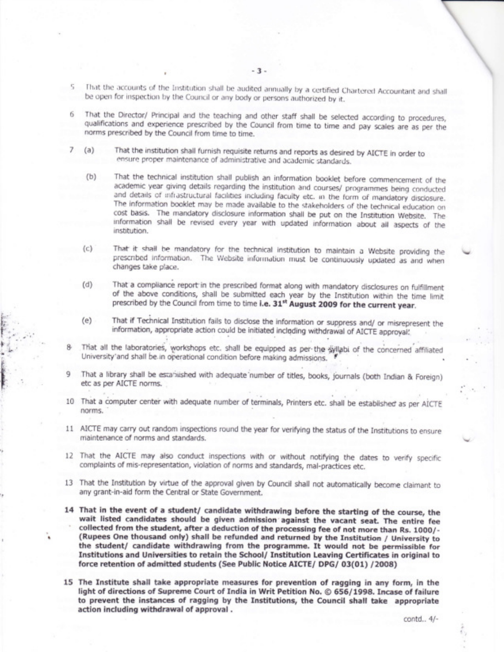- 5 That the accounts of the Institution shall be audited annually by a certified Chartered Accountant and shall be open for inspection by the Council or any body or persons authorized by it.
- That the Director/ Principal and the teaching and other staff shall be selected according to procedures, 6. qualifications and experience prescribed by the Council from time to time and pay scales are as per the norms prescribed by the Council from time to time.
- That the institution shall furnish requisite returns and reports as desired by AICTE in order to 7  $(a)$ ensure proper maintenance of administrative and academic standards.
	- That the technical institution shall publish an information booklet before commencement of the  $(b)$ academic year giving details regarding the institution and courses/ programmes being conducted and details of infrastructural facilities including faculty etc. in the form of mandatory disclosure. The information booklet may be made available to the stakeholders of the technical education on cost basis. The mandatory disclosure information shall be put on the Institution Website. The information shall be revised every year with updated information about all aspects of the institution.
	- That it shall be mandatory for the technical institution to maintain a Website providing the  $(c)$ prescribed information. The Website information must be continuously updated as and when changes take place.
	- That a compliance report in the prescribed format along with mandatory disclosures on fulfillment  $(d)$ of the above conditions, shall be submitted each year by the Institution within the time limit prescribed by the Council from time to time i.e. 31<sup>st</sup> August 2009 for the current year.
	- That if Technical Institution fails to disclose the information or suppress and/ or misrepresent the  $(e)$ information, appropriate action could be initiated including withdrawal of AICTE approval.
- That all the laboratories, workshops etc. shall be equipped as per-the syllabi of the concerned affiliated University'and shall be in operational condition before making admissions.
- That a library shall be established with adequate number of titles, books, journals (both Indian & Foreign) etc as per AICTE norms.
- 10 That a computer center with adequate number of terminals, Printers etc. shall be established as per AICTE norms.
- 11 AICTE may carry out random inspections round the year for verifying the status of the Institutions to ensure maintenance of norms and standards.
- 12 That the AICTE may also conduct inspections with or without notifying the dates to verify specific complaints of mis-representation, violation of norms and standards, mal-practices etc.
- 13 That the Institution by virtue of the approval given by Council shall not automatically become claimant to any grant-in-aid form the Central or State Government.
- 14 That in the event of a student/ candidate withdrawing before the starting of the course, the wait listed candidates should be given admission against the vacant seat. The entire fee collected from the student, after a deduction of the processing fee of not more than Rs. 1000/-(Rupees One thousand only) shall be refunded and returned by the Institution / University to the student/ candidate withdrawing from the programme. It would not be permissible for Institutions and Universities to retain the School/ Institution Leaving Certificates in original to force retention of admitted students (See Public Notice AICTE/ DPG/ 03(01) /2008)
- 15 The Institute shall take appropriate measures for prevention of ragging in any form, in the light of directions of Supreme Court of India in Writ Petition No. © 656/1998. Incase of failure to prevent the instances of ragging by the Institutions, the Council shall take appropriate action including withdrawal of approval.